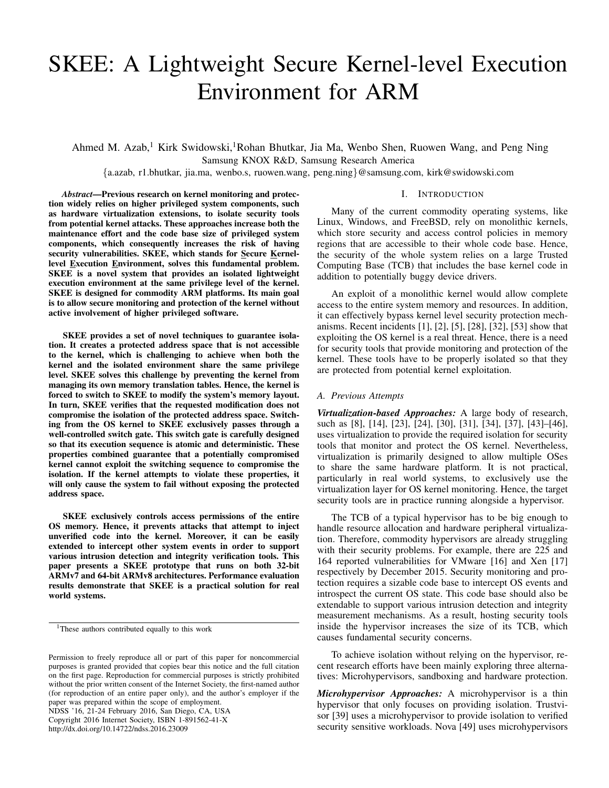# SKEE: A Lightweight Secure Kernel-level Execution Environment for ARM

Ahmed M. Azab,<sup>1</sup> Kirk Swidowski,<sup>1</sup>Rohan Bhutkar, Jia Ma, Wenbo Shen, Ruowen Wang, and Peng Ning Samsung KNOX R&D, Samsung Research America

{a.azab, r1.bhutkar, jia.ma, wenbo.s, ruowen.wang, peng.ning}@samsung.com, kirk@swidowski.com

*Abstract*—Previous research on kernel monitoring and protection widely relies on higher privileged system components, such as hardware virtualization extensions, to isolate security tools from potential kernel attacks. These approaches increase both the maintenance effort and the code base size of privileged system components, which consequently increases the risk of having security vulnerabilities. SKEE, which stands for Secure Kernellevel Execution Environment, solves this fundamental problem. SKEE is a novel system that provides an isolated lightweight execution environment at the same privilege level of the kernel. SKEE is designed for commodity ARM platforms. Its main goal is to allow secure monitoring and protection of the kernel without active involvement of higher privileged software.

SKEE provides a set of novel techniques to guarantee isolation. It creates a protected address space that is not accessible to the kernel, which is challenging to achieve when both the kernel and the isolated environment share the same privilege level. SKEE solves this challenge by preventing the kernel from managing its own memory translation tables. Hence, the kernel is forced to switch to SKEE to modify the system's memory layout. In turn, SKEE verifies that the requested modification does not compromise the isolation of the protected address space. Switching from the OS kernel to SKEE exclusively passes through a well-controlled switch gate. This switch gate is carefully designed so that its execution sequence is atomic and deterministic. These properties combined guarantee that a potentially compromised kernel cannot exploit the switching sequence to compromise the isolation. If the kernel attempts to violate these properties, it will only cause the system to fail without exposing the protected address space.

SKEE exclusively controls access permissions of the entire OS memory. Hence, it prevents attacks that attempt to inject unverified code into the kernel. Moreover, it can be easily extended to intercept other system events in order to support various intrusion detection and integrity verification tools. This paper presents a SKEE prototype that runs on both 32-bit ARMv7 and 64-bit ARMv8 architectures. Performance evaluation results demonstrate that SKEE is a practical solution for real world systems.

NDSS '16, 21-24 February 2016, San Diego, CA, USA Copyright 2016 Internet Society, ISBN 1-891562-41-X http://dx.doi.org/10.14722/ndss.2016.23009

#### I. INTRODUCTION

Many of the current commodity operating systems, like Linux, Windows, and FreeBSD, rely on monolithic kernels, which store security and access control policies in memory regions that are accessible to their whole code base. Hence, the security of the whole system relies on a large Trusted Computing Base (TCB) that includes the base kernel code in addition to potentially buggy device drivers.

An exploit of a monolithic kernel would allow complete access to the entire system memory and resources. In addition, it can effectively bypass kernel level security protection mechanisms. Recent incidents [1], [2], [5], [28], [32], [53] show that exploiting the OS kernel is a real threat. Hence, there is a need for security tools that provide monitoring and protection of the kernel. These tools have to be properly isolated so that they are protected from potential kernel exploitation.

#### *A. Previous Attempts*

*Virtualization-based Approaches:* A large body of research, such as [8], [14], [23], [24], [30], [31], [34], [37], [43]–[46], uses virtualization to provide the required isolation for security tools that monitor and protect the OS kernel. Nevertheless, virtualization is primarily designed to allow multiple OSes to share the same hardware platform. It is not practical, particularly in real world systems, to exclusively use the virtualization layer for OS kernel monitoring. Hence, the target security tools are in practice running alongside a hypervisor.

The TCB of a typical hypervisor has to be big enough to handle resource allocation and hardware peripheral virtualization. Therefore, commodity hypervisors are already struggling with their security problems. For example, there are 225 and 164 reported vulnerabilities for VMware [16] and Xen [17] respectively by December 2015. Security monitoring and protection requires a sizable code base to intercept OS events and introspect the current OS state. This code base should also be extendable to support various intrusion detection and integrity measurement mechanisms. As a result, hosting security tools inside the hypervisor increases the size of its TCB, which causes fundamental security concerns.

To achieve isolation without relying on the hypervisor, recent research efforts have been mainly exploring three alternatives: Microhypervisors, sandboxing and hardware protection.

*Microhypervisor Approaches:* A microhypervisor is a thin hypervisor that only focuses on providing isolation. Trustvisor [39] uses a microhypervisor to provide isolation to verified security sensitive workloads. Nova [49] uses microhypervisors

<sup>&</sup>lt;sup>1</sup>These authors contributed equally to this work

Permission to freely reproduce all or part of this paper for noncommercial purposes is granted provided that copies bear this notice and the full citation on the first page. Reproduction for commercial purposes is strictly prohibited without the prior written consent of the Internet Society, the first-named author (for reproduction of an entire paper only), and the author's employer if the paper was prepared within the scope of employment.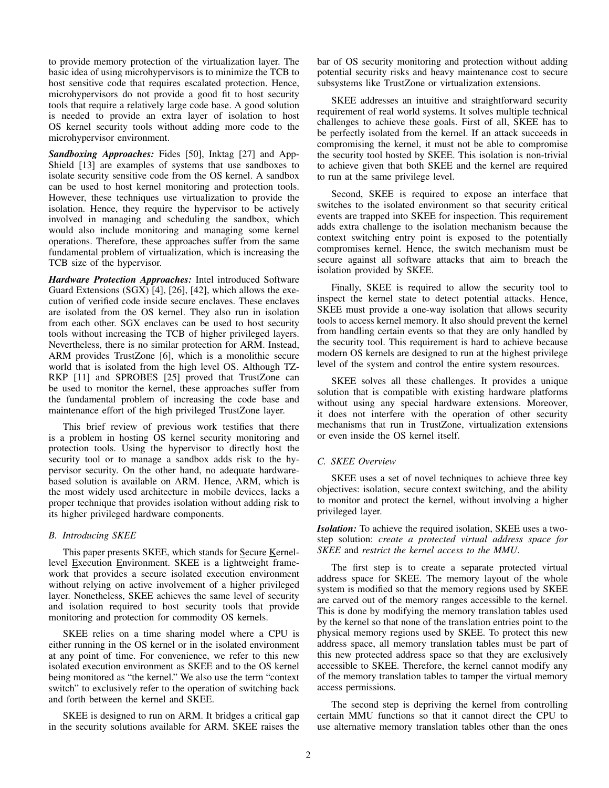to provide memory protection of the virtualization layer. The basic idea of using microhypervisors is to minimize the TCB to host sensitive code that requires escalated protection. Hence, microhypervisors do not provide a good fit to host security tools that require a relatively large code base. A good solution is needed to provide an extra layer of isolation to host OS kernel security tools without adding more code to the microhypervisor environment.

*Sandboxing Approaches:* Fides [50], Inktag [27] and App-Shield [13] are examples of systems that use sandboxes to isolate security sensitive code from the OS kernel. A sandbox can be used to host kernel monitoring and protection tools. However, these techniques use virtualization to provide the isolation. Hence, they require the hypervisor to be actively involved in managing and scheduling the sandbox, which would also include monitoring and managing some kernel operations. Therefore, these approaches suffer from the same fundamental problem of virtualization, which is increasing the TCB size of the hypervisor.

*Hardware Protection Approaches:* Intel introduced Software Guard Extensions (SGX) [4], [26], [42], which allows the execution of verified code inside secure enclaves. These enclaves are isolated from the OS kernel. They also run in isolation from each other. SGX enclaves can be used to host security tools without increasing the TCB of higher privileged layers. Nevertheless, there is no similar protection for ARM. Instead, ARM provides TrustZone [6], which is a monolithic secure world that is isolated from the high level OS. Although TZ-RKP [11] and SPROBES [25] proved that TrustZone can be used to monitor the kernel, these approaches suffer from the fundamental problem of increasing the code base and maintenance effort of the high privileged TrustZone layer.

This brief review of previous work testifies that there is a problem in hosting OS kernel security monitoring and protection tools. Using the hypervisor to directly host the security tool or to manage a sandbox adds risk to the hypervisor security. On the other hand, no adequate hardwarebased solution is available on ARM. Hence, ARM, which is the most widely used architecture in mobile devices, lacks a proper technique that provides isolation without adding risk to its higher privileged hardware components.

## *B. Introducing SKEE*

This paper presents SKEE, which stands for Secure Kernellevel Execution Environment. SKEE is a lightweight framework that provides a secure isolated execution environment without relying on active involvement of a higher privileged layer. Nonetheless, SKEE achieves the same level of security and isolation required to host security tools that provide monitoring and protection for commodity OS kernels.

SKEE relies on a time sharing model where a CPU is either running in the OS kernel or in the isolated environment at any point of time. For convenience, we refer to this new isolated execution environment as SKEE and to the OS kernel being monitored as "the kernel." We also use the term "context switch" to exclusively refer to the operation of switching back and forth between the kernel and SKEE.

SKEE is designed to run on ARM. It bridges a critical gap in the security solutions available for ARM. SKEE raises the bar of OS security monitoring and protection without adding potential security risks and heavy maintenance cost to secure subsystems like TrustZone or virtualization extensions.

SKEE addresses an intuitive and straightforward security requirement of real world systems. It solves multiple technical challenges to achieve these goals. First of all, SKEE has to be perfectly isolated from the kernel. If an attack succeeds in compromising the kernel, it must not be able to compromise the security tool hosted by SKEE. This isolation is non-trivial to achieve given that both SKEE and the kernel are required to run at the same privilege level.

Second, SKEE is required to expose an interface that switches to the isolated environment so that security critical events are trapped into SKEE for inspection. This requirement adds extra challenge to the isolation mechanism because the context switching entry point is exposed to the potentially compromises kernel. Hence, the switch mechanism must be secure against all software attacks that aim to breach the isolation provided by SKEE.

Finally, SKEE is required to allow the security tool to inspect the kernel state to detect potential attacks. Hence, SKEE must provide a one-way isolation that allows security tools to access kernel memory. It also should prevent the kernel from handling certain events so that they are only handled by the security tool. This requirement is hard to achieve because modern OS kernels are designed to run at the highest privilege level of the system and control the entire system resources.

SKEE solves all these challenges. It provides a unique solution that is compatible with existing hardware platforms without using any special hardware extensions. Moreover, it does not interfere with the operation of other security mechanisms that run in TrustZone, virtualization extensions or even inside the OS kernel itself.

# *C. SKEE Overview*

SKEE uses a set of novel techniques to achieve three key objectives: isolation, secure context switching, and the ability to monitor and protect the kernel, without involving a higher privileged layer.

*Isolation:* To achieve the required isolation, SKEE uses a twostep solution: *create a protected virtual address space for SKEE* and *restrict the kernel access to the MMU*.

The first step is to create a separate protected virtual address space for SKEE. The memory layout of the whole system is modified so that the memory regions used by SKEE are carved out of the memory ranges accessible to the kernel. This is done by modifying the memory translation tables used by the kernel so that none of the translation entries point to the physical memory regions used by SKEE. To protect this new address space, all memory translation tables must be part of this new protected address space so that they are exclusively accessible to SKEE. Therefore, the kernel cannot modify any of the memory translation tables to tamper the virtual memory access permissions.

The second step is depriving the kernel from controlling certain MMU functions so that it cannot direct the CPU to use alternative memory translation tables other than the ones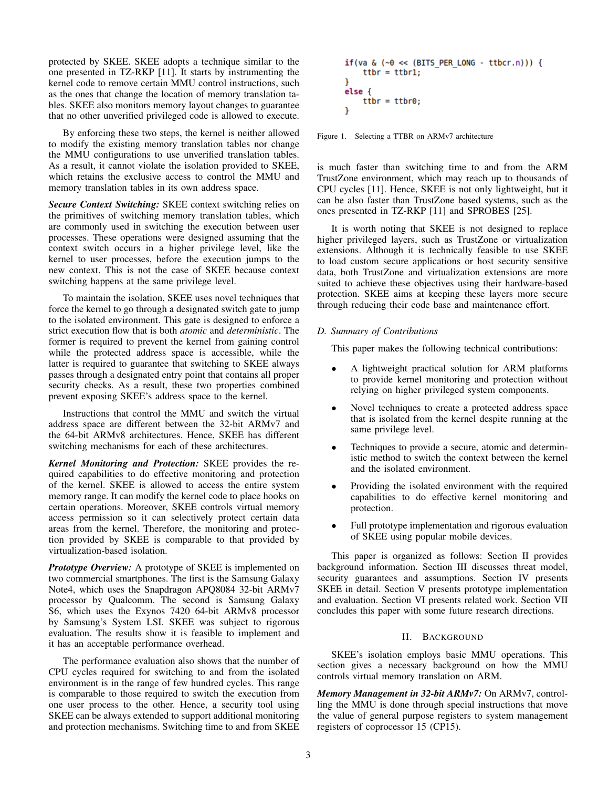protected by SKEE. SKEE adopts a technique similar to the one presented in TZ-RKP [11]. It starts by instrumenting the kernel code to remove certain MMU control instructions, such as the ones that change the location of memory translation tables. SKEE also monitors memory layout changes to guarantee that no other unverified privileged code is allowed to execute.

By enforcing these two steps, the kernel is neither allowed to modify the existing memory translation tables nor change the MMU configurations to use unverified translation tables. As a result, it cannot violate the isolation provided to SKEE, which retains the exclusive access to control the MMU and memory translation tables in its own address space.

*Secure Context Switching:* SKEE context switching relies on the primitives of switching memory translation tables, which are commonly used in switching the execution between user processes. These operations were designed assuming that the context switch occurs in a higher privilege level, like the kernel to user processes, before the execution jumps to the new context. This is not the case of SKEE because context switching happens at the same privilege level.

To maintain the isolation, SKEE uses novel techniques that force the kernel to go through a designated switch gate to jump to the isolated environment. This gate is designed to enforce a strict execution flow that is both *atomic* and *deterministic*. The former is required to prevent the kernel from gaining control while the protected address space is accessible, while the latter is required to guarantee that switching to SKEE always passes through a designated entry point that contains all proper security checks. As a result, these two properties combined prevent exposing SKEE's address space to the kernel.

Instructions that control the MMU and switch the virtual address space are different between the 32-bit ARMv7 and the 64-bit ARMv8 architectures. Hence, SKEE has different switching mechanisms for each of these architectures.

*Kernel Monitoring and Protection:* SKEE provides the required capabilities to do effective monitoring and protection of the kernel. SKEE is allowed to access the entire system memory range. It can modify the kernel code to place hooks on certain operations. Moreover, SKEE controls virtual memory access permission so it can selectively protect certain data areas from the kernel. Therefore, the monitoring and protection provided by SKEE is comparable to that provided by virtualization-based isolation.

*Prototype Overview:* A prototype of SKEE is implemented on two commercial smartphones. The first is the Samsung Galaxy Note4, which uses the Snapdragon APQ8084 32-bit ARMv7 processor by Qualcomm. The second is Samsung Galaxy S6, which uses the Exynos 7420 64-bit ARMv8 processor by Samsung's System LSI. SKEE was subject to rigorous evaluation. The results show it is feasible to implement and it has an acceptable performance overhead.

The performance evaluation also shows that the number of CPU cycles required for switching to and from the isolated environment is in the range of few hundred cycles. This range is comparable to those required to switch the execution from one user process to the other. Hence, a security tool using SKEE can be always extended to support additional monitoring and protection mechanisms. Switching time to and from SKEE

Figure 1. Selecting a TTBR on ARMv7 architecture

is much faster than switching time to and from the ARM TrustZone environment, which may reach up to thousands of CPU cycles [11]. Hence, SKEE is not only lightweight, but it can be also faster than TrustZone based systems, such as the ones presented in TZ-RKP [11] and SPROBES [25].

It is worth noting that SKEE is not designed to replace higher privileged layers, such as TrustZone or virtualization extensions. Although it is technically feasible to use SKEE to load custom secure applications or host security sensitive data, both TrustZone and virtualization extensions are more suited to achieve these objectives using their hardware-based protection. SKEE aims at keeping these layers more secure through reducing their code base and maintenance effort.

# *D. Summary of Contributions*

This paper makes the following technical contributions:

- A lightweight practical solution for ARM platforms to provide kernel monitoring and protection without relying on higher privileged system components.
- Novel techniques to create a protected address space that is isolated from the kernel despite running at the same privilege level.
- Techniques to provide a secure, atomic and deterministic method to switch the context between the kernel and the isolated environment.
- Providing the isolated environment with the required capabilities to do effective kernel monitoring and protection.
- Full prototype implementation and rigorous evaluation of SKEE using popular mobile devices.

This paper is organized as follows: Section II provides background information. Section III discusses threat model, security guarantees and assumptions. Section IV presents SKEE in detail. Section V presents prototype implementation and evaluation. Section VI presents related work. Section VII concludes this paper with some future research directions.

# II. BACKGROUND

SKEE's isolation employs basic MMU operations. This section gives a necessary background on how the MMU controls virtual memory translation on ARM.

*Memory Management in 32-bit ARMv7:* On ARMv7, controlling the MMU is done through special instructions that move the value of general purpose registers to system management registers of coprocessor 15 (CP15).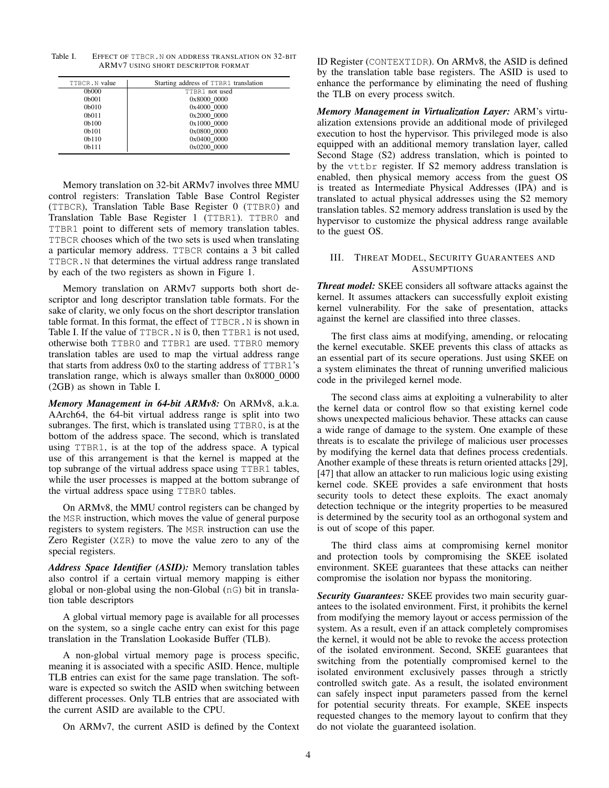Table I. EFFECT OF TTBCR.N ON ADDRESS TRANSLATION ON 32-BIT ARMV7 USING SHORT DESCRIPTOR FORMAT

| TTBCR. N value     | Starting address of TTBR1 translation |
|--------------------|---------------------------------------|
| 0b000              | TTBR1 not used                        |
| 0 <sub>b</sub> 001 | 0x8000 0000                           |
| 0 <sub>b010</sub>  | 0x4000 0000                           |
| 0b <sub>011</sub>  | 0x2000 0000                           |
| 0 <sub>b100</sub>  | 0x1000 0000                           |
| 0 <sub>b101</sub>  | 0x0800 0000                           |
| 0 <sub>b110</sub>  | 0x0400 0000                           |
| 0 <sub>b111</sub>  | 0x0200 0000                           |

Memory translation on 32-bit ARMv7 involves three MMU control registers: Translation Table Base Control Register (TTBCR), Translation Table Base Register 0 (TTBR0) and Translation Table Base Register 1 (TTBR1). TTBR0 and TTBR1 point to different sets of memory translation tables. TTBCR chooses which of the two sets is used when translating a particular memory address. TTBCR contains a 3 bit called TTBCR.N that determines the virtual address range translated by each of the two registers as shown in Figure 1.

Memory translation on ARMv7 supports both short descriptor and long descriptor translation table formats. For the sake of clarity, we only focus on the short descriptor translation table format. In this format, the effect of TTBCR.N is shown in Table I. If the value of TTBCR. N is 0, then TTBR1 is not used, otherwise both TTBR0 and TTBR1 are used. TTBR0 memory translation tables are used to map the virtual address range that starts from address 0x0 to the starting address of TTBR1's translation range, which is always smaller than  $0x8000_00000$ (2GB) as shown in Table I.

*Memory Management in 64-bit ARMv8:* On ARMv8, a.k.a. AArch64, the 64-bit virtual address range is split into two subranges. The first, which is translated using TTBR0, is at the bottom of the address space. The second, which is translated using TTBR1, is at the top of the address space. A typical use of this arrangement is that the kernel is mapped at the top subrange of the virtual address space using TTBR1 tables, while the user processes is mapped at the bottom subrange of the virtual address space using TTBR0 tables.

On ARMv8, the MMU control registers can be changed by the MSR instruction, which moves the value of general purpose registers to system registers. The MSR instruction can use the Zero Register (XZR) to move the value zero to any of the special registers.

*Address Space Identifier (ASID):* Memory translation tables also control if a certain virtual memory mapping is either global or non-global using the non-Global (nG) bit in translation table descriptors

A global virtual memory page is available for all processes on the system, so a single cache entry can exist for this page translation in the Translation Lookaside Buffer (TLB).

A non-global virtual memory page is process specific, meaning it is associated with a specific ASID. Hence, multiple TLB entries can exist for the same page translation. The software is expected so switch the ASID when switching between different processes. Only TLB entries that are associated with the current ASID are available to the CPU.

On ARMv7, the current ASID is defined by the Context

ID Register (CONTEXTIDR). On ARMv8, the ASID is defined by the translation table base registers. The ASID is used to enhance the performance by eliminating the need of flushing the TLB on every process switch.

*Memory Management in Virtualization Layer:* ARM's virtualization extensions provide an additional mode of privileged execution to host the hypervisor. This privileged mode is also equipped with an additional memory translation layer, called Second Stage (S2) address translation, which is pointed to by the vttbr register. If S2 memory address translation is enabled, then physical memory access from the guest OS is treated as Intermediate Physical Addresses (IPA) and is translated to actual physical addresses using the S2 memory translation tables. S2 memory address translation is used by the hypervisor to customize the physical address range available to the guest OS.

## III. THREAT MODEL, SECURITY GUARANTEES AND **ASSUMPTIONS**

*Threat model:* SKEE considers all software attacks against the kernel. It assumes attackers can successfully exploit existing kernel vulnerability. For the sake of presentation, attacks against the kernel are classified into three classes.

The first class aims at modifying, amending, or relocating the kernel executable. SKEE prevents this class of attacks as an essential part of its secure operations. Just using SKEE on a system eliminates the threat of running unverified malicious code in the privileged kernel mode.

The second class aims at exploiting a vulnerability to alter the kernel data or control flow so that existing kernel code shows unexpected malicious behavior. These attacks can cause a wide range of damage to the system. One example of these threats is to escalate the privilege of malicious user processes by modifying the kernel data that defines process credentials. Another example of these threats is return oriented attacks [29], [47] that allow an attacker to run malicious logic using existing kernel code. SKEE provides a safe environment that hosts security tools to detect these exploits. The exact anomaly detection technique or the integrity properties to be measured is determined by the security tool as an orthogonal system and is out of scope of this paper.

The third class aims at compromising kernel monitor and protection tools by compromising the SKEE isolated environment. SKEE guarantees that these attacks can neither compromise the isolation nor bypass the monitoring.

*Security Guarantees:* SKEE provides two main security guarantees to the isolated environment. First, it prohibits the kernel from modifying the memory layout or access permission of the system. As a result, even if an attack completely compromises the kernel, it would not be able to revoke the access protection of the isolated environment. Second, SKEE guarantees that switching from the potentially compromised kernel to the isolated environment exclusively passes through a strictly controlled switch gate. As a result, the isolated environment can safely inspect input parameters passed from the kernel for potential security threats. For example, SKEE inspects requested changes to the memory layout to confirm that they do not violate the guaranteed isolation.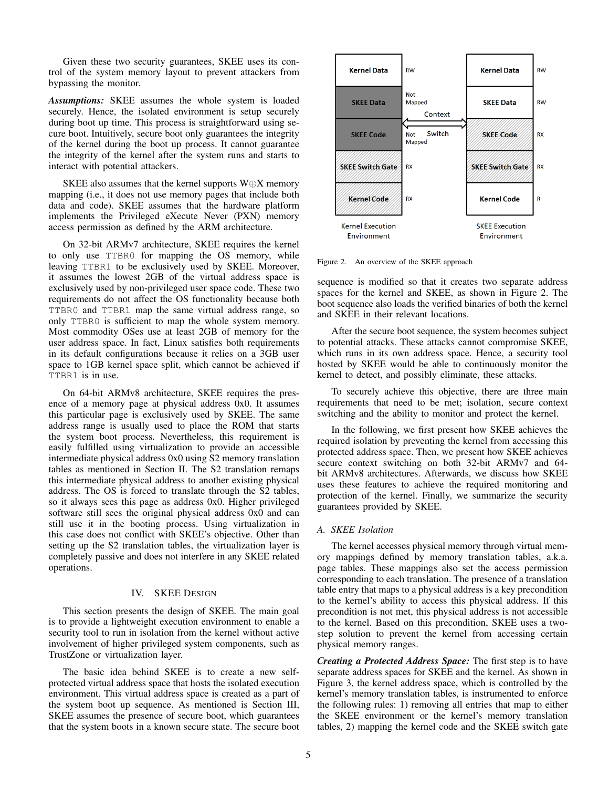Given these two security guarantees, SKEE uses its control of the system memory layout to prevent attackers from bypassing the monitor.

*Assumptions:* SKEE assumes the whole system is loaded securely. Hence, the isolated environment is setup securely during boot up time. This process is straightforward using secure boot. Intuitively, secure boot only guarantees the integrity of the kernel during the boot up process. It cannot guarantee the integrity of the kernel after the system runs and starts to interact with potential attackers.

SKEE also assumes that the kernel supports  $W \oplus X$  memory mapping (i.e., it does not use memory pages that include both data and code). SKEE assumes that the hardware platform implements the Privileged eXecute Never (PXN) memory access permission as defined by the ARM architecture.

On 32-bit ARMv7 architecture, SKEE requires the kernel to only use TTBR0 for mapping the OS memory, while leaving TTBR1 to be exclusively used by SKEE. Moreover, it assumes the lowest 2GB of the virtual address space is exclusively used by non-privileged user space code. These two requirements do not affect the OS functionality because both TTBR0 and TTBR1 map the same virtual address range, so only TTBR0 is sufficient to map the whole system memory. Most commodity OSes use at least 2GB of memory for the user address space. In fact, Linux satisfies both requirements in its default configurations because it relies on a 3GB user space to 1GB kernel space split, which cannot be achieved if TTBR1 is in use.

On 64-bit ARMv8 architecture, SKEE requires the presence of a memory page at physical address 0x0. It assumes this particular page is exclusively used by SKEE. The same address range is usually used to place the ROM that starts the system boot process. Nevertheless, this requirement is easily fulfilled using virtualization to provide an accessible intermediate physical address 0x0 using S2 memory translation tables as mentioned in Section II. The S2 translation remaps this intermediate physical address to another existing physical address. The OS is forced to translate through the S2 tables, so it always sees this page as address 0x0. Higher privileged software still sees the original physical address 0x0 and can still use it in the booting process. Using virtualization in this case does not conflict with SKEE's objective. Other than setting up the S2 translation tables, the virtualization layer is completely passive and does not interfere in any SKEE related operations.

#### IV. SKEE DESIGN

This section presents the design of SKEE. The main goal is to provide a lightweight execution environment to enable a security tool to run in isolation from the kernel without active involvement of higher privileged system components, such as TrustZone or virtualization layer.

The basic idea behind SKEE is to create a new selfprotected virtual address space that hosts the isolated execution environment. This virtual address space is created as a part of the system boot up sequence. As mentioned is Section III, SKEE assumes the presence of secure boot, which guarantees that the system boots in a known secure state. The secure boot



Figure 2. An overview of the SKEE approach

sequence is modified so that it creates two separate address spaces for the kernel and SKEE, as shown in Figure 2. The boot sequence also loads the verified binaries of both the kernel and SKEE in their relevant locations.

After the secure boot sequence, the system becomes subject to potential attacks. These attacks cannot compromise SKEE, which runs in its own address space. Hence, a security tool hosted by SKEE would be able to continuously monitor the kernel to detect, and possibly eliminate, these attacks.

To securely achieve this objective, there are three main requirements that need to be met; isolation, secure context switching and the ability to monitor and protect the kernel.

In the following, we first present how SKEE achieves the required isolation by preventing the kernel from accessing this protected address space. Then, we present how SKEE achieves secure context switching on both 32-bit ARMv7 and 64 bit ARMv8 architectures. Afterwards, we discuss how SKEE uses these features to achieve the required monitoring and protection of the kernel. Finally, we summarize the security guarantees provided by SKEE.

## *A. SKEE Isolation*

The kernel accesses physical memory through virtual memory mappings defined by memory translation tables, a.k.a. page tables. These mappings also set the access permission corresponding to each translation. The presence of a translation table entry that maps to a physical address is a key precondition to the kernel's ability to access this physical address. If this precondition is not met, this physical address is not accessible to the kernel. Based on this precondition, SKEE uses a twostep solution to prevent the kernel from accessing certain physical memory ranges.

*Creating a Protected Address Space:* The first step is to have separate address spaces for SKEE and the kernel. As shown in Figure 3, the kernel address space, which is controlled by the kernel's memory translation tables, is instrumented to enforce the following rules: 1) removing all entries that map to either the SKEE environment or the kernel's memory translation tables, 2) mapping the kernel code and the SKEE switch gate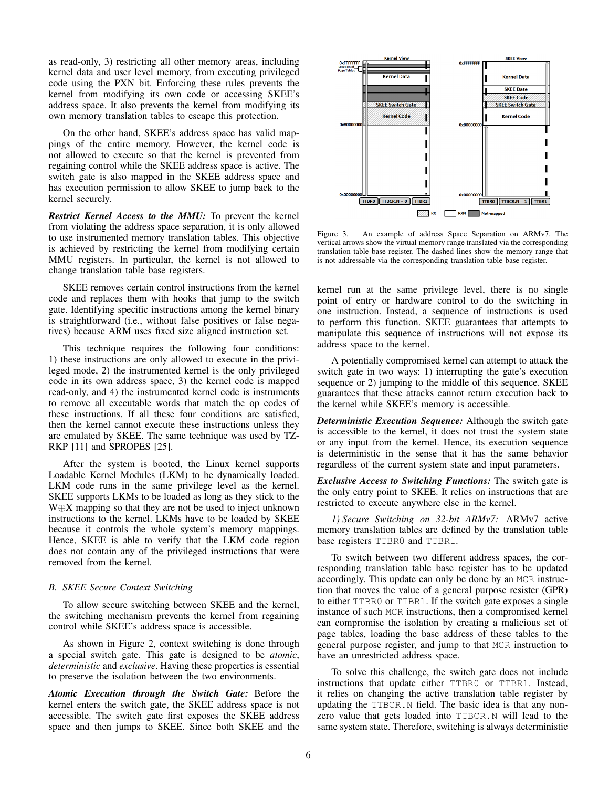as read-only, 3) restricting all other memory areas, including kernel data and user level memory, from executing privileged code using the PXN bit. Enforcing these rules prevents the kernel from modifying its own code or accessing SKEE's address space. It also prevents the kernel from modifying its own memory translation tables to escape this protection.

On the other hand, SKEE's address space has valid mappings of the entire memory. However, the kernel code is not allowed to execute so that the kernel is prevented from regaining control while the SKEE address space is active. The switch gate is also mapped in the SKEE address space and has execution permission to allow SKEE to jump back to the kernel securely.

*Restrict Kernel Access to the MMU:* To prevent the kernel from violating the address space separation, it is only allowed to use instrumented memory translation tables. This objective is achieved by restricting the kernel from modifying certain MMU registers. In particular, the kernel is not allowed to change translation table base registers.

SKEE removes certain control instructions from the kernel code and replaces them with hooks that jump to the switch gate. Identifying specific instructions among the kernel binary is straightforward (i.e., without false positives or false negatives) because ARM uses fixed size aligned instruction set.

This technique requires the following four conditions: 1) these instructions are only allowed to execute in the privileged mode, 2) the instrumented kernel is the only privileged code in its own address space, 3) the kernel code is mapped read-only, and 4) the instrumented kernel code is instruments to remove all executable words that match the op codes of these instructions. If all these four conditions are satisfied, then the kernel cannot execute these instructions unless they are emulated by SKEE. The same technique was used by TZ-RKP [11] and SPROPES [25].

After the system is booted, the Linux kernel supports Loadable Kernel Modules (LKM) to be dynamically loaded. LKM code runs in the same privilege level as the kernel. SKEE supports LKMs to be loaded as long as they stick to the W⊕X mapping so that they are not be used to inject unknown instructions to the kernel. LKMs have to be loaded by SKEE because it controls the whole system's memory mappings. Hence, SKEE is able to verify that the LKM code region does not contain any of the privileged instructions that were removed from the kernel.

#### *B. SKEE Secure Context Switching*

To allow secure switching between SKEE and the kernel, the switching mechanism prevents the kernel from regaining control while SKEE's address space is accessible.

As shown in Figure 2, context switching is done through a special switch gate. This gate is designed to be *atomic*, *deterministic* and *exclusive*. Having these properties is essential to preserve the isolation between the two environments.

*Atomic Execution through the Switch Gate:* Before the kernel enters the switch gate, the SKEE address space is not accessible. The switch gate first exposes the SKEE address space and then jumps to SKEE. Since both SKEE and the



Figure 3. An example of address Space Separation on ARMv7. The vertical arrows show the virtual memory range translated via the corresponding translation table base register. The dashed lines show the memory range that is not addressable via the corresponding translation table base register.

kernel run at the same privilege level, there is no single point of entry or hardware control to do the switching in one instruction. Instead, a sequence of instructions is used to perform this function. SKEE guarantees that attempts to manipulate this sequence of instructions will not expose its address space to the kernel.

A potentially compromised kernel can attempt to attack the switch gate in two ways: 1) interrupting the gate's execution sequence or 2) jumping to the middle of this sequence. SKEE guarantees that these attacks cannot return execution back to the kernel while SKEE's memory is accessible.

*Deterministic Execution Sequence:* Although the switch gate is accessible to the kernel, it does not trust the system state or any input from the kernel. Hence, its execution sequence is deterministic in the sense that it has the same behavior regardless of the current system state and input parameters.

*Exclusive Access to Switching Functions:* The switch gate is the only entry point to SKEE. It relies on instructions that are restricted to execute anywhere else in the kernel.

*1) Secure Switching on 32-bit ARMv7:* ARMv7 active memory translation tables are defined by the translation table base registers TTBR0 and TTBR1.

To switch between two different address spaces, the corresponding translation table base register has to be updated accordingly. This update can only be done by an MCR instruction that moves the value of a general purpose resister (GPR) to either TTBR0 or TTBR1. If the switch gate exposes a single instance of such MCR instructions, then a compromised kernel can compromise the isolation by creating a malicious set of page tables, loading the base address of these tables to the general purpose register, and jump to that MCR instruction to have an unrestricted address space.

To solve this challenge, the switch gate does not include instructions that update either TTBR0 or TTBR1. Instead, it relies on changing the active translation table register by updating the TTBCR.N field. The basic idea is that any nonzero value that gets loaded into TTBCR.N will lead to the same system state. Therefore, switching is always deterministic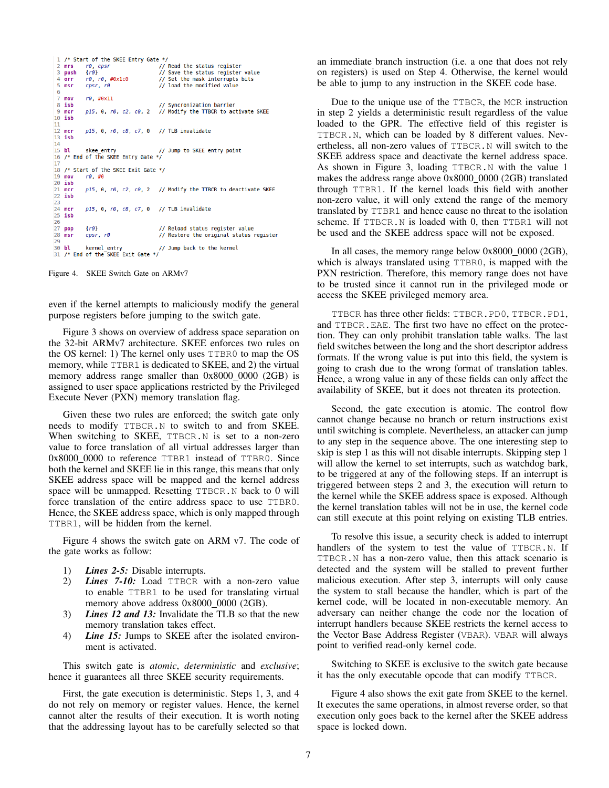```
/* Start of the SKEE Entry Gate */
 \mathbf{I}\frac{1}{10} Read the status register
    mrsr\theta, cpsr
    _{push}f(6)// Save the status register value
    rac{1}{\pi}r0, r0, #0x1c0// Set the mask interrupts bits
 \overline{5}msrcpsr, r\theta// load the modified value
             r\theta. #0x11
    moy
    isb
                                          // Syncronization barrier
            p15, 0, r0, c2, c0, 2// Modify the TTBCR to activate SKEE
    mc<sub>r</sub>10ish
11\frac{11}{12}<br>13
    merp15, 0, r0, c8, c7, 0 // TLB invalidate
   \overline{\mathbf{i}}sb
14bl skee_entry // Jump to SKEE entry point /* End of the SKEE Entry Gate */
15
16
\frac{18}{17}18 /* Start of the SKEE Exit Gate */
\overline{19}movr\theta, #0
20 isb
\overline{21}mcrp15, 0, r0, c2, c0, 2 // Modify the TTBCR to deactivate SKEE
22 isb
\frac{1}{2}24
             p15, 0, r0, c8, c7, 0 // TLB invalidate
    mcr25isb
26
\overline{27}// Reload status register value
             {r0}cpsr, r\theta// Restore the original status register
28
    msr29
             kernel_entry
    bl
                                          // Jump back to the kernel
30
   /* End of the SKEE Exit Gate */
31
```
Figure 4. SKEE Switch Gate on ARMv7

even if the kernel attempts to maliciously modify the general purpose registers before jumping to the switch gate.

Figure 3 shows on overview of address space separation on the 32-bit ARMv7 architecture. SKEE enforces two rules on the OS kernel: 1) The kernel only uses TTBR0 to map the OS memory, while TTBR1 is dedicated to SKEE, and 2) the virtual memory address range smaller than 0x8000 0000 (2GB) is assigned to user space applications restricted by the Privileged Execute Never (PXN) memory translation flag.

Given these two rules are enforced; the switch gate only needs to modify TTBCR.N to switch to and from SKEE. When switching to SKEE, TTBCR.N is set to a non-zero value to force translation of all virtual addresses larger than 0x8000 0000 to reference TTBR1 instead of TTBR0. Since both the kernel and SKEE lie in this range, this means that only SKEE address space will be mapped and the kernel address space will be unmapped. Resetting TTBCR.N back to 0 will force translation of the entire address space to use TTBR0. Hence, the SKEE address space, which is only mapped through TTBR1, will be hidden from the kernel.

Figure 4 shows the switch gate on ARM v7. The code of the gate works as follow:

- 1) *Lines 2-5:* Disable interrupts.
- 2) *Lines 7-10:* Load TTBCR with a non-zero value to enable TTBR1 to be used for translating virtual memory above address 0x8000\_0000 (2GB).
- 3) *Lines 12 and 13:* Invalidate the TLB so that the new memory translation takes effect.
- 4) *Line 15:* Jumps to SKEE after the isolated environment is activated.

This switch gate is *atomic*, *deterministic* and *exclusive*; hence it guarantees all three SKEE security requirements.

First, the gate execution is deterministic. Steps 1, 3, and 4 do not rely on memory or register values. Hence, the kernel cannot alter the results of their execution. It is worth noting that the addressing layout has to be carefully selected so that an immediate branch instruction (i.e. a one that does not rely on registers) is used on Step 4. Otherwise, the kernel would be able to jump to any instruction in the SKEE code base.

Due to the unique use of the TTBCR, the MCR instruction in step 2 yields a deterministic result regardless of the value loaded to the GPR. The effective field of this register is TTBCR.N, which can be loaded by 8 different values. Nevertheless, all non-zero values of TTBCR.N will switch to the SKEE address space and deactivate the kernel address space. As shown in Figure 3, loading TTBCR.N with the value 1 makes the address range above 0x8000\_0000 (2GB) translated through TTBR1. If the kernel loads this field with another non-zero value, it will only extend the range of the memory translated by TTBR1 and hence cause no threat to the isolation scheme. If TTBCR. N is loaded with 0, then TTBR1 will not be used and the SKEE address space will not be exposed.

In all cases, the memory range below 0x8000\_0000 (2GB), which is always translated using TTBR0, is mapped with the PXN restriction. Therefore, this memory range does not have to be trusted since it cannot run in the privileged mode or access the SKEE privileged memory area.

TTBCR has three other fields: TTBCR.PD0, TTBCR.PD1, and TTBCR.EAE. The first two have no effect on the protection. They can only prohibit translation table walks. The last field switches between the long and the short descriptor address formats. If the wrong value is put into this field, the system is going to crash due to the wrong format of translation tables. Hence, a wrong value in any of these fields can only affect the availability of SKEE, but it does not threaten its protection.

Second, the gate execution is atomic. The control flow cannot change because no branch or return instructions exist until switching is complete. Nevertheless, an attacker can jump to any step in the sequence above. The one interesting step to skip is step 1 as this will not disable interrupts. Skipping step 1 will allow the kernel to set interrupts, such as watchdog bark, to be triggered at any of the following steps. If an interrupt is triggered between steps 2 and 3, the execution will return to the kernel while the SKEE address space is exposed. Although the kernel translation tables will not be in use, the kernel code can still execute at this point relying on existing TLB entries.

To resolve this issue, a security check is added to interrupt handlers of the system to test the value of TTBCR.N. If TTBCR.N has a non-zero value, then this attack scenario is detected and the system will be stalled to prevent further malicious execution. After step 3, interrupts will only cause the system to stall because the handler, which is part of the kernel code, will be located in non-executable memory. An adversary can neither change the code nor the location of interrupt handlers because SKEE restricts the kernel access to the Vector Base Address Register (VBAR). VBAR will always point to verified read-only kernel code.

Switching to SKEE is exclusive to the switch gate because it has the only executable opcode that can modify TTBCR.

Figure 4 also shows the exit gate from SKEE to the kernel. It executes the same operations, in almost reverse order, so that execution only goes back to the kernel after the SKEE address space is locked down.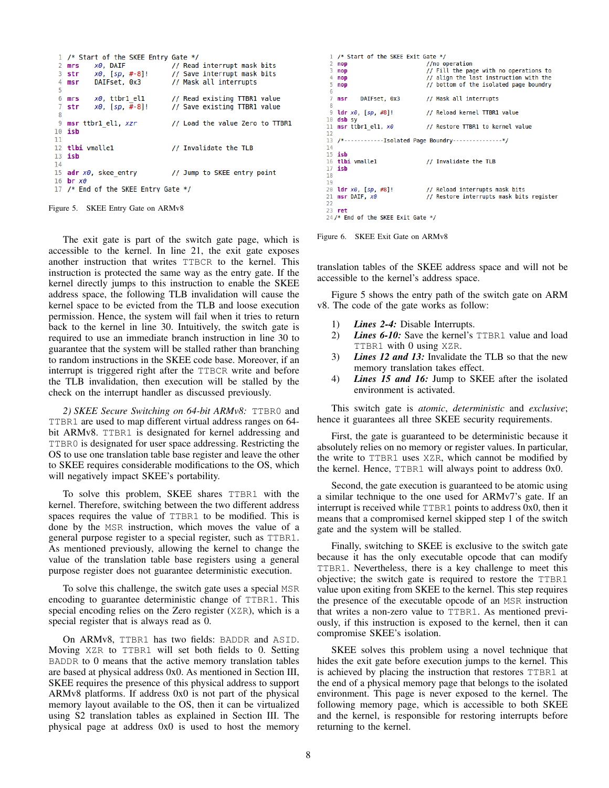```
1 /* Start of the SKEE Entry Gate */
                                  // Read interrupt mask bits
 2 mrs
           x\theta, DAIF
 \overline{\mathbf{3}}str
           x0, [sp, #-8]!
                                  // Save interrupt mask bits
 \overline{4}msrDAIFset, 0x3
                                  // Mask all interrupts
 5
                                  // Read existing TTBR1 value
 6
           x\theta, ttbr1 el1
   mrs// Save existing TTBR1 value
 7
   str
           x0, [sp, #-8]!\mathbf{R}9
   msr ttbr1 el1, xzr
                                  // Load the value Zero to TTBR1
10
   isb
11
   tlbi vmallel
                                  // Invalidate the TLB
1213 isb
1415 adr x0, skee entry
                                  // Jump to SKEE entry point
16 br x017 /* End of the SKEE Entry Gate */
```
Figure 5. SKEE Entry Gate on ARMv8

The exit gate is part of the switch gate page, which is accessible to the kernel. In line 21, the exit gate exposes another instruction that writes TTBCR to the kernel. This instruction is protected the same way as the entry gate. If the kernel directly jumps to this instruction to enable the SKEE address space, the following TLB invalidation will cause the kernel space to be evicted from the TLB and loose execution permission. Hence, the system will fail when it tries to return back to the kernel in line 30. Intuitively, the switch gate is required to use an immediate branch instruction in line 30 to guarantee that the system will be stalled rather than branching to random instructions in the SKEE code base. Moreover, if an interrupt is triggered right after the TTBCR write and before the TLB invalidation, then execution will be stalled by the check on the interrupt handler as discussed previously.

*2) SKEE Secure Switching on 64-bit ARMv8:* TTBR0 and TTBR1 are used to map different virtual address ranges on 64 bit ARMv8. TTBR1 is designated for kernel addressing and TTBR0 is designated for user space addressing. Restricting the OS to use one translation table base register and leave the other to SKEE requires considerable modifications to the OS, which will negatively impact SKEE's portability.

To solve this problem, SKEE shares TTBR1 with the kernel. Therefore, switching between the two different address spaces requires the value of TTBR1 to be modified. This is done by the MSR instruction, which moves the value of a general purpose register to a special register, such as TTBR1. As mentioned previously, allowing the kernel to change the value of the translation table base registers using a general purpose register does not guarantee deterministic execution.

To solve this challenge, the switch gate uses a special MSR encoding to guarantee deterministic change of TTBR1. This special encoding relies on the Zero register (XZR), which is a special register that is always read as 0.

On ARMv8, TTBR1 has two fields: BADDR and ASID. Moving XZR to TTBR1 will set both fields to 0. Setting BADDR to 0 means that the active memory translation tables are based at physical address 0x0. As mentioned in Section III, SKEE requires the presence of this physical address to support ARMv8 platforms. If address 0x0 is not part of the physical memory layout available to the OS, then it can be virtualized using S2 translation tables as explained in Section III. The physical page at address 0x0 is used to host the memory

```
1 /* Start of the SKEE Exit Gate */
                                   //no operation
\overline{2}nop
\overline{3}// Fill the page with no operations to
   nop
 \overline{4}nop
                                   // align the last instruction with the
\overline{5}// bottom of the isolated page boundry
   nop
 \overline{6}\frac{6}{7}// Mask all interrupts
   msrDATESet. 0x3
\overline{9}ldr x0, [sp, #8]!
                                   // Reload kernel TTBR1 value
10 dsb sv
11 msr ttbr1 el1, x0// Restore TTBR1 to kernel value
1213 /*----------------Isolated Page Boundry-----------------*/
1415 isb
16
   tlbi vmalle1
                                  // Invalidate the TLB
17
   isb
18
19
20^{1}ldr x0, [sp, #8]!
                                   // Reload interrupts mask bits
21 msr DAIF, x0// Restore interrupts mask bits register
22
   ret
24/* End of the SKEE Exit Gate */
```
Figure 6. SKEE Exit Gate on ARMv8

translation tables of the SKEE address space and will not be accessible to the kernel's address space.

Figure 5 shows the entry path of the switch gate on ARM v8. The code of the gate works as follow:

- 1) *Lines 2-4:* Disable Interrupts.
- 2) *Lines 6-10:* Save the kernel's TTBR1 value and load TTBR1 with 0 using XZR.
- 3) *Lines 12 and 13:* Invalidate the TLB so that the new memory translation takes effect.
- 4) *Lines 15 and 16:* Jump to SKEE after the isolated environment is activated.

This switch gate is *atomic*, *deterministic* and *exclusive*; hence it guarantees all three SKEE security requirements.

First, the gate is guaranteed to be deterministic because it absolutely relies on no memory or register values. In particular, the write to TTBR1 uses XZR, which cannot be modified by the kernel. Hence, TTBR1 will always point to address 0x0.

Second, the gate execution is guaranteed to be atomic using a similar technique to the one used for ARMv7's gate. If an interrupt is received while TTBR1 points to address 0x0, then it means that a compromised kernel skipped step 1 of the switch gate and the system will be stalled.

Finally, switching to SKEE is exclusive to the switch gate because it has the only executable opcode that can modify TTBR1. Nevertheless, there is a key challenge to meet this objective; the switch gate is required to restore the TTBR1 value upon exiting from SKEE to the kernel. This step requires the presence of the executable opcode of an MSR instruction that writes a non-zero value to TTBR1. As mentioned previously, if this instruction is exposed to the kernel, then it can compromise SKEE's isolation.

SKEE solves this problem using a novel technique that hides the exit gate before execution jumps to the kernel. This is achieved by placing the instruction that restores TTBR1 at the end of a physical memory page that belongs to the isolated environment. This page is never exposed to the kernel. The following memory page, which is accessible to both SKEE and the kernel, is responsible for restoring interrupts before returning to the kernel.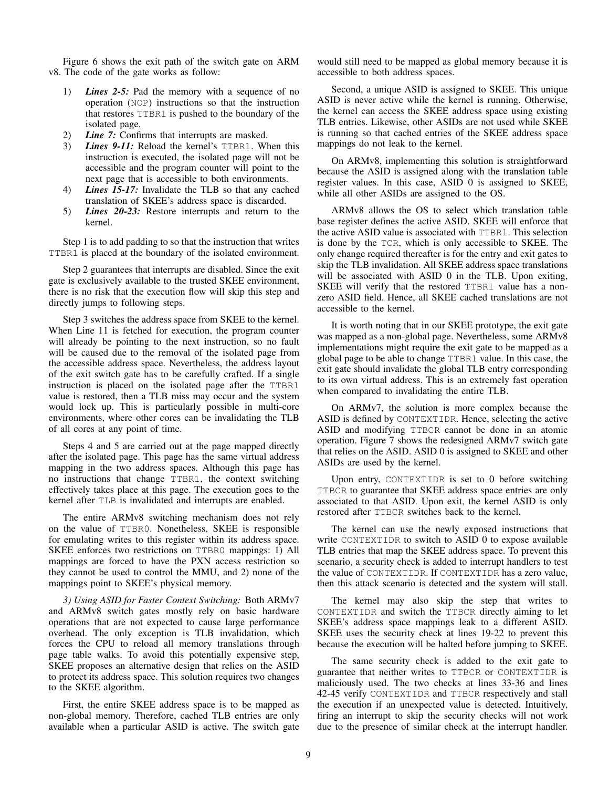Figure 6 shows the exit path of the switch gate on ARM v8. The code of the gate works as follow:

- 1) *Lines 2-5:* Pad the memory with a sequence of no operation (NOP) instructions so that the instruction that restores TTBR1 is pushed to the boundary of the isolated page.
- 2) *Line 7:* Confirms that interrupts are masked.
- 3) *Lines 9-11:* Reload the kernel's TTBR1. When this instruction is executed, the isolated page will not be accessible and the program counter will point to the next page that is accessible to both environments.
- 4) *Lines 15-17:* Invalidate the TLB so that any cached translation of SKEE's address space is discarded.
- 5) *Lines 20-23:* Restore interrupts and return to the kernel.

Step 1 is to add padding to so that the instruction that writes TTBR1 is placed at the boundary of the isolated environment.

Step 2 guarantees that interrupts are disabled. Since the exit gate is exclusively available to the trusted SKEE environment, there is no risk that the execution flow will skip this step and directly jumps to following steps.

Step 3 switches the address space from SKEE to the kernel. When Line 11 is fetched for execution, the program counter will already be pointing to the next instruction, so no fault will be caused due to the removal of the isolated page from the accessible address space. Nevertheless, the address layout of the exit switch gate has to be carefully crafted. If a single instruction is placed on the isolated page after the TTBR1 value is restored, then a TLB miss may occur and the system would lock up. This is particularly possible in multi-core environments, where other cores can be invalidating the TLB of all cores at any point of time.

Steps 4 and 5 are carried out at the page mapped directly after the isolated page. This page has the same virtual address mapping in the two address spaces. Although this page has no instructions that change TTBR1, the context switching effectively takes place at this page. The execution goes to the kernel after TLB is invalidated and interrupts are enabled.

The entire ARMv8 switching mechanism does not rely on the value of TTBR0. Nonetheless, SKEE is responsible for emulating writes to this register within its address space. SKEE enforces two restrictions on TTBR0 mappings: 1) All mappings are forced to have the PXN access restriction so they cannot be used to control the MMU, and 2) none of the mappings point to SKEE's physical memory.

*3) Using ASID for Faster Context Switching:* Both ARMv7 and ARMv8 switch gates mostly rely on basic hardware operations that are not expected to cause large performance overhead. The only exception is TLB invalidation, which forces the CPU to reload all memory translations through page table walks. To avoid this potentially expensive step, SKEE proposes an alternative design that relies on the ASID to protect its address space. This solution requires two changes to the SKEE algorithm.

First, the entire SKEE address space is to be mapped as non-global memory. Therefore, cached TLB entries are only available when a particular ASID is active. The switch gate would still need to be mapped as global memory because it is accessible to both address spaces.

Second, a unique ASID is assigned to SKEE. This unique ASID is never active while the kernel is running. Otherwise, the kernel can access the SKEE address space using existing TLB entries. Likewise, other ASIDs are not used while SKEE is running so that cached entries of the SKEE address space mappings do not leak to the kernel.

On ARMv8, implementing this solution is straightforward because the ASID is assigned along with the translation table register values. In this case, ASID 0 is assigned to SKEE, while all other ASIDs are assigned to the OS.

ARMv8 allows the OS to select which translation table base register defines the active ASID. SKEE will enforce that the active ASID value is associated with TTBR1. This selection is done by the TCR, which is only accessible to SKEE. The only change required thereafter is for the entry and exit gates to skip the TLB invalidation. All SKEE address space translations will be associated with ASID 0 in the TLB. Upon exiting, SKEE will verify that the restored TTBR1 value has a nonzero ASID field. Hence, all SKEE cached translations are not accessible to the kernel.

It is worth noting that in our SKEE prototype, the exit gate was mapped as a non-global page. Nevertheless, some ARMv8 implementations might require the exit gate to be mapped as a global page to be able to change TTBR1 value. In this case, the exit gate should invalidate the global TLB entry corresponding to its own virtual address. This is an extremely fast operation when compared to invalidating the entire TLB.

On ARMv7, the solution is more complex because the ASID is defined by CONTEXTIDR. Hence, selecting the active ASID and modifying TTBCR cannot be done in an atomic operation. Figure 7 shows the redesigned ARMv7 switch gate that relies on the ASID. ASID 0 is assigned to SKEE and other ASIDs are used by the kernel.

Upon entry, CONTEXTIDR is set to 0 before switching TTBCR to guarantee that SKEE address space entries are only associated to that ASID. Upon exit, the kernel ASID is only restored after TTBCR switches back to the kernel.

The kernel can use the newly exposed instructions that write CONTEXTIDR to switch to ASID 0 to expose available TLB entries that map the SKEE address space. To prevent this scenario, a security check is added to interrupt handlers to test the value of CONTEXTIDR. If CONTEXTIDR has a zero value, then this attack scenario is detected and the system will stall.

The kernel may also skip the step that writes to CONTEXTIDR and switch the TTBCR directly aiming to let SKEE's address space mappings leak to a different ASID. SKEE uses the security check at lines 19-22 to prevent this because the execution will be halted before jumping to SKEE.

The same security check is added to the exit gate to guarantee that neither writes to TTBCR or CONTEXTIDR is maliciously used. The two checks at lines 33-36 and lines 42-45 verify CONTEXTIDR and TTBCR respectively and stall the execution if an unexpected value is detected. Intuitively, firing an interrupt to skip the security checks will not work due to the presence of similar check at the interrupt handler.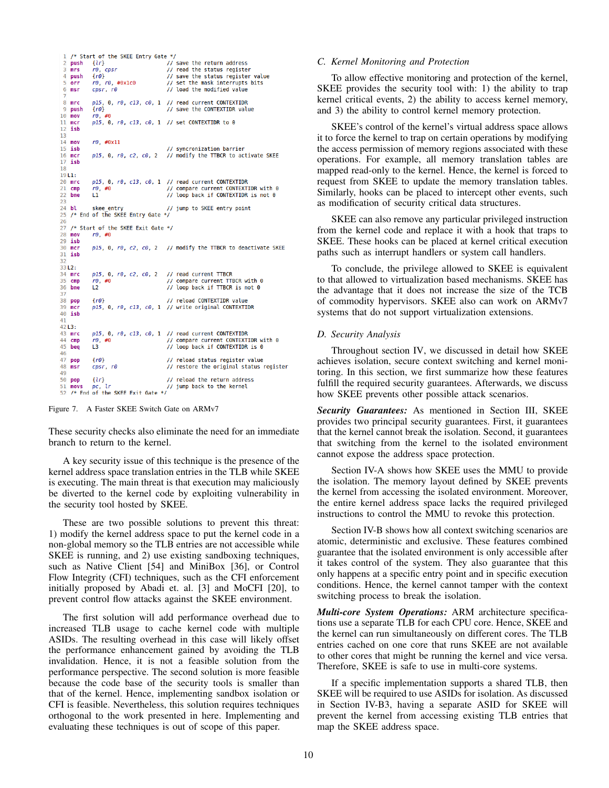```
1 /* Start of the SKEE Entry Gate */
                                          // save the return address
 2
    push
            \{lr\}\overline{3}mrsr\theta, cpsr
                                          // read the status register
             \{r0\}// save the status register value
 \overline{A}push
             r0. r0. #0x1c05
    orr
                                          // set the mask interrupts bits
             cpsr, r<sub>0</sub>6
    msr// load the modified value
            p15, 0, r0, c13, c0, 1 // read current CONTEXTIDR
    mrcpush<br>mov
 9
             \{r0\}// save the CONTEXTIDR value
10+0r\theta,
            p15, 0, r0, c13, c0, 1 // set CONTEXTIDR to 0
11
    mcr12isb
13<br>14<br>15<br>16<br>16<br>17
    movr\theta, #0x11
    isb
                                          // syncronization barrier
    mcrp15, 0, r0, c2, c0, 2 // modify the TTBCR to activate SKEE
    isb
18
19L1:\frac{19}{20}<br>21<br>22
            p15, 0, r0, c13, c0, 1 // read current CONTEXTIDR
    mrc
                                          // compare current CONTEXTIDR with 0
    cmpr\theta, #0
            \mathbf{u}// loop back if CONTEXTIDR is not 0
    bne
23\frac{24}{ }bl
                                          // jump to SKEE entry point
             skee entry
\frac{25}{26}/* End of the SKEE Entry Gate */
    /* Start of the SKEE Exit Gate */
\frac{27}{28}mov
            r0, #0
29 isb<br>30 mcr
            p15, 0, r0, c2, c0, 2 // modify the TTBCR to deactivate SKEE
31isb
323312:34 mrc
            p15, 0, r0, c2, c0, 2 // read current TTBCR
\frac{35}{36}// compare current TTBCR with 0<br>// loop back if TTBCR is not 0
    cmp
            r\theta, #0<br>L2
    bne
37<br>38
                                          // reload CONTEXTIDR value
             f(0)pop
\frac{39}{40}\frac{1}{2}p15, 0, r0, c13, c0, 1 // write original CONTEXTIDR
    ish
\frac{41}{42} L3:
\frac{43}{44}p15, 0, r0, c13, c0, 1 // read current CONTEXTIDR
    mrc// compare current CONTEXTIDR with 0
    cmp
             r\theta, #0
\frac{45}{46}L3
                                          // loop back if CONTEXTIDR is 0
    beq
\frac{47}{48}\{r\theta\}// reload status register value
             cpsr, r\thetamsr// restore the original status register
49\{lr\}// reload the return address
50
    pop
    movs pc, lr<br>/* End of the SKEE Exit Gate */
51
                                          // jump back to the kernel
52
```
Figure 7. A Faster SKEE Switch Gate on ARMv7

These security checks also eliminate the need for an immediate branch to return to the kernel.

A key security issue of this technique is the presence of the kernel address space translation entries in the TLB while SKEE is executing. The main threat is that execution may maliciously be diverted to the kernel code by exploiting vulnerability in the security tool hosted by SKEE.

These are two possible solutions to prevent this threat: 1) modify the kernel address space to put the kernel code in a non-global memory so the TLB entries are not accessible while SKEE is running, and 2) use existing sandboxing techniques, such as Native Client [54] and MiniBox [36], or Control Flow Integrity (CFI) techniques, such as the CFI enforcement initially proposed by Abadi et. al. [3] and MoCFI [20], to prevent control flow attacks against the SKEE environment.

The first solution will add performance overhead due to increased TLB usage to cache kernel code with multiple ASIDs. The resulting overhead in this case will likely offset the performance enhancement gained by avoiding the TLB invalidation. Hence, it is not a feasible solution from the performance perspective. The second solution is more feasible because the code base of the security tools is smaller than that of the kernel. Hence, implementing sandbox isolation or CFI is feasible. Nevertheless, this solution requires techniques orthogonal to the work presented in here. Implementing and evaluating these techniques is out of scope of this paper.

### *C. Kernel Monitoring and Protection*

To allow effective monitoring and protection of the kernel, SKEE provides the security tool with: 1) the ability to trap kernel critical events, 2) the ability to access kernel memory, and 3) the ability to control kernel memory protection.

SKEE's control of the kernel's virtual address space allows it to force the kernel to trap on certain operations by modifying the access permission of memory regions associated with these operations. For example, all memory translation tables are mapped read-only to the kernel. Hence, the kernel is forced to request from SKEE to update the memory translation tables. Similarly, hooks can be placed to intercept other events, such as modification of security critical data structures.

SKEE can also remove any particular privileged instruction from the kernel code and replace it with a hook that traps to SKEE. These hooks can be placed at kernel critical execution paths such as interrupt handlers or system call handlers.

To conclude, the privilege allowed to SKEE is equivalent to that allowed to virtualization based mechanisms. SKEE has the advantage that it does not increase the size of the TCB of commodity hypervisors. SKEE also can work on ARMv7 systems that do not support virtualization extensions.

## *D. Security Analysis*

Throughout section IV, we discussed in detail how SKEE achieves isolation, secure context switching and kernel monitoring. In this section, we first summarize how these features fulfill the required security guarantees. Afterwards, we discuss how SKEE prevents other possible attack scenarios.

*Security Guarantees:* As mentioned in Section III, SKEE provides two principal security guarantees. First, it guarantees that the kernel cannot break the isolation. Second, it guarantees that switching from the kernel to the isolated environment cannot expose the address space protection.

Section IV-A shows how SKEE uses the MMU to provide the isolation. The memory layout defined by SKEE prevents the kernel from accessing the isolated environment. Moreover, the entire kernel address space lacks the required privileged instructions to control the MMU to revoke this protection.

Section IV-B shows how all context switching scenarios are atomic, deterministic and exclusive. These features combined guarantee that the isolated environment is only accessible after it takes control of the system. They also guarantee that this only happens at a specific entry point and in specific execution conditions. Hence, the kernel cannot tamper with the context switching process to break the isolation.

*Multi-core System Operations:* ARM architecture specifications use a separate TLB for each CPU core. Hence, SKEE and the kernel can run simultaneously on different cores. The TLB entries cached on one core that runs SKEE are not available to other cores that might be running the kernel and vice versa. Therefore, SKEE is safe to use in multi-core systems.

If a specific implementation supports a shared TLB, then SKEE will be required to use ASIDs for isolation. As discussed in Section IV-B3, having a separate ASID for SKEE will prevent the kernel from accessing existing TLB entries that map the SKEE address space.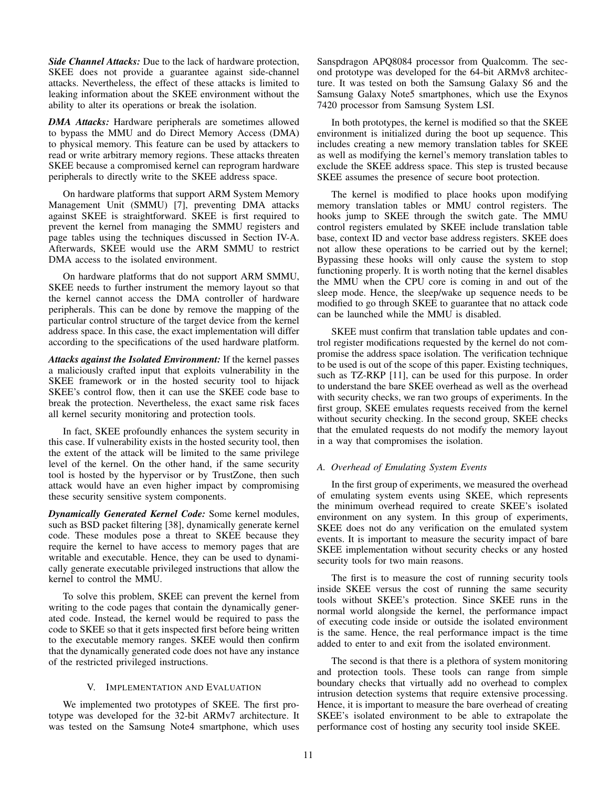*Side Channel Attacks:* Due to the lack of hardware protection, SKEE does not provide a guarantee against side-channel attacks. Nevertheless, the effect of these attacks is limited to leaking information about the SKEE environment without the ability to alter its operations or break the isolation.

*DMA Attacks:* Hardware peripherals are sometimes allowed to bypass the MMU and do Direct Memory Access (DMA) to physical memory. This feature can be used by attackers to read or write arbitrary memory regions. These attacks threaten SKEE because a compromised kernel can reprogram hardware peripherals to directly write to the SKEE address space.

On hardware platforms that support ARM System Memory Management Unit (SMMU) [7], preventing DMA attacks against SKEE is straightforward. SKEE is first required to prevent the kernel from managing the SMMU registers and page tables using the techniques discussed in Section IV-A. Afterwards, SKEE would use the ARM SMMU to restrict DMA access to the isolated environment.

On hardware platforms that do not support ARM SMMU, SKEE needs to further instrument the memory layout so that the kernel cannot access the DMA controller of hardware peripherals. This can be done by remove the mapping of the particular control structure of the target device from the kernel address space. In this case, the exact implementation will differ according to the specifications of the used hardware platform.

*Attacks against the Isolated Environment:* If the kernel passes a maliciously crafted input that exploits vulnerability in the SKEE framework or in the hosted security tool to hijack SKEE's control flow, then it can use the SKEE code base to break the protection. Nevertheless, the exact same risk faces all kernel security monitoring and protection tools.

In fact, SKEE profoundly enhances the system security in this case. If vulnerability exists in the hosted security tool, then the extent of the attack will be limited to the same privilege level of the kernel. On the other hand, if the same security tool is hosted by the hypervisor or by TrustZone, then such attack would have an even higher impact by compromising these security sensitive system components.

*Dynamically Generated Kernel Code:* Some kernel modules, such as BSD packet filtering [38], dynamically generate kernel code. These modules pose a threat to SKEE because they require the kernel to have access to memory pages that are writable and executable. Hence, they can be used to dynamically generate executable privileged instructions that allow the kernel to control the MMU.

To solve this problem, SKEE can prevent the kernel from writing to the code pages that contain the dynamically generated code. Instead, the kernel would be required to pass the code to SKEE so that it gets inspected first before being written to the executable memory ranges. SKEE would then confirm that the dynamically generated code does not have any instance of the restricted privileged instructions.

## V. IMPLEMENTATION AND EVALUATION

We implemented two prototypes of SKEE. The first prototype was developed for the 32-bit ARMv7 architecture. It was tested on the Samsung Note4 smartphone, which uses Sanspdragon APQ8084 processor from Qualcomm. The second prototype was developed for the 64-bit ARMv8 architecture. It was tested on both the Samsung Galaxy S6 and the Samsung Galaxy Note5 smartphones, which use the Exynos 7420 processor from Samsung System LSI.

In both prototypes, the kernel is modified so that the SKEE environment is initialized during the boot up sequence. This includes creating a new memory translation tables for SKEE as well as modifying the kernel's memory translation tables to exclude the SKEE address space. This step is trusted because SKEE assumes the presence of secure boot protection.

The kernel is modified to place hooks upon modifying memory translation tables or MMU control registers. The hooks jump to SKEE through the switch gate. The MMU control registers emulated by SKEE include translation table base, context ID and vector base address registers. SKEE does not allow these operations to be carried out by the kernel; Bypassing these hooks will only cause the system to stop functioning properly. It is worth noting that the kernel disables the MMU when the CPU core is coming in and out of the sleep mode. Hence, the sleep/wake up sequence needs to be modified to go through SKEE to guarantee that no attack code can be launched while the MMU is disabled.

SKEE must confirm that translation table updates and control register modifications requested by the kernel do not compromise the address space isolation. The verification technique to be used is out of the scope of this paper. Existing techniques, such as TZ-RKP [11], can be used for this purpose. In order to understand the bare SKEE overhead as well as the overhead with security checks, we ran two groups of experiments. In the first group, SKEE emulates requests received from the kernel without security checking. In the second group, SKEE checks that the emulated requests do not modify the memory layout in a way that compromises the isolation.

## *A. Overhead of Emulating System Events*

In the first group of experiments, we measured the overhead of emulating system events using SKEE, which represents the minimum overhead required to create SKEE's isolated environment on any system. In this group of experiments, SKEE does not do any verification on the emulated system events. It is important to measure the security impact of bare SKEE implementation without security checks or any hosted security tools for two main reasons.

The first is to measure the cost of running security tools inside SKEE versus the cost of running the same security tools without SKEE's protection. Since SKEE runs in the normal world alongside the kernel, the performance impact of executing code inside or outside the isolated environment is the same. Hence, the real performance impact is the time added to enter to and exit from the isolated environment.

The second is that there is a plethora of system monitoring and protection tools. These tools can range from simple boundary checks that virtually add no overhead to complex intrusion detection systems that require extensive processing. Hence, it is important to measure the bare overhead of creating SKEE's isolated environment to be able to extrapolate the performance cost of hosting any security tool inside SKEE.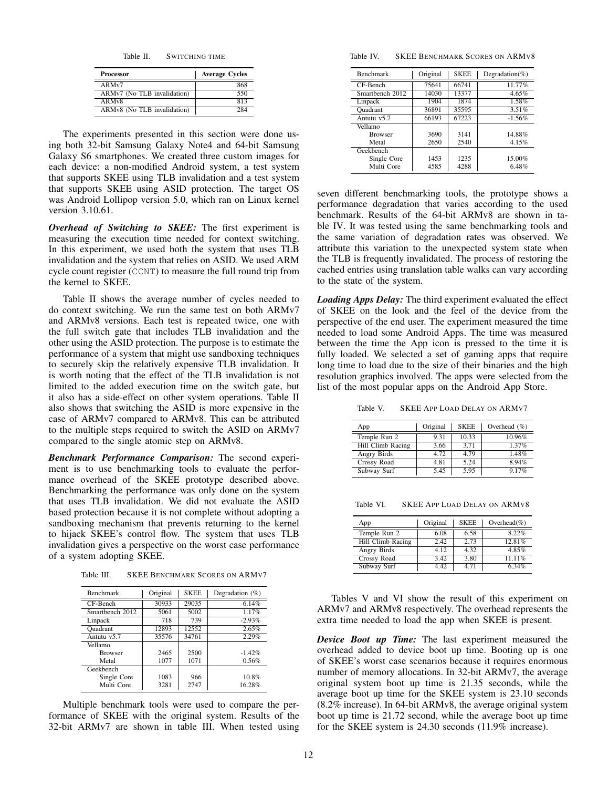Table II. SWITCHING TIME

| <b>Processor</b>            | <b>Average Cycles</b> |
|-----------------------------|-----------------------|
| ARMv7                       | 868                   |
| ARMv7 (No TLB invalidation) | 550                   |
| ARM <sub>v</sub> 8          | 813                   |
| ARMv8 (No TLB invalidation) | 284                   |

The experiments presented in this section were done using both 32-bit Samsung Galaxy Note4 and 64-bit Samsung Galaxy S6 smartphones. We created three custom images for each device: a non-modified Android system, a test system that supports SKEE using TLB invalidation and a test system that supports SKEE using ASID protection. The target OS was Android Lollipop version 5.0, which ran on Linux kernel version 3.10.61.

*Overhead of Switching to SKEE:* The first experiment is measuring the execution time needed for context switching. In this experiment, we used both the system that uses TLB invalidation and the system that relies on ASID. We used ARM cycle count register (CCNT) to measure the full round trip from the kernel to SKEE.

Table II shows the average number of cycles needed to do context switching. We run the same test on both ARMv7 and ARMv8 versions. Each test is repeated twice, one with the full switch gate that includes TLB invalidation and the other using the ASID protection. The purpose is to estimate the performance of a system that might use sandboxing techniques to securely skip the relatively expensive TLB invalidation. It is worth noting that the effect of the TLB invalidation is not limited to the added execution time on the switch gate, but it also has a side-effect on other system operations. Table II also shows that switching the ASID is more expensive in the case of ARMv7 compared to ARMv8. This can be attributed to the multiple steps required to switch the ASID on ARMv7 compared to the single atomic step on ARMv8.

*Benchmark Performance Comparison:* The second experiment is to use benchmarking tools to evaluate the performance overhead of the SKEE prototype described above. Benchmarking the performance was only done on the system that uses TLB invalidation. We did not evaluate the ASID based protection because it is not complete without adopting a sandboxing mechanism that prevents returning to the kernel to hijack SKEE's control flow. The system that uses TLB invalidation gives a perspective on the worst case performance of a system adopting SKEE.

Table III. SKEE BENCHMARK SCORES ON ARMV7

| <b>Benchmark</b> | Original<br><b>SKEE</b> |       | Degradation $(\%)$ |  |
|------------------|-------------------------|-------|--------------------|--|
| CF-Bench         | 30933                   | 29035 | 6.14%              |  |
| Smartbench 2012  | 5061                    | 5002  | 1.17%              |  |
| Linpack          | 718                     | 739   | $-2.93%$           |  |
| Ouadrant         | 12893                   | 12552 | 2.65%              |  |
| Antutu $v5.7$    | 35576                   | 34761 | 2.29%              |  |
| Vellamo          |                         |       |                    |  |
| <b>Browser</b>   | 2465                    | 2500  | $-1.42%$           |  |
| Metal            | 1077                    | 1071  | 0.56%              |  |
| Geekbench        |                         |       |                    |  |
| Single Core      | 1083                    | 966   | 10.8%              |  |
| Multi Core       | 3281                    | 2747  | 16.28%             |  |

Multiple benchmark tools were used to compare the performance of SKEE with the original system. Results of the 32-bit ARMv7 are shown in table III. When tested using

Table IV. SKEE BENCHMARK SCORES ON ARMV8

| <b>Benchmark</b> | Original | <b>SKEE</b> | Degradation(%) |
|------------------|----------|-------------|----------------|
| CF-Bench         | 75641    | 66741       | 11.77%         |
| Smartbench 2012  | 14030    | 13377       | 4.65%          |
| Linpack          | 1904     | 1874        | 1.58%          |
| <b>Quadrant</b>  | 36891    | 35595       | 3.51%          |
| Antutu v5.7      | 66193    | 67223       | $-1.56%$       |
| Vellamo          |          |             |                |
| <b>Browser</b>   | 3690     | 3141        | 14.88%         |
| Metal            | 2650     | 2540        | 4.15%          |
| Geekbench        |          |             |                |
| Single Core      | 1453     | 1235        | 15.00%         |
| Multi Core       | 4585     | 4288        | 6.48%          |

seven different benchmarking tools, the prototype shows a performance degradation that varies according to the used benchmark. Results of the 64-bit ARMv8 are shown in table IV. It was tested using the same benchmarking tools and the same variation of degradation rates was observed. We attribute this variation to the unexpected system state when the TLB is frequently invalidated. The process of restoring the cached entries using translation table walks can vary according to the state of the system.

*Loading Apps Delay:* The third experiment evaluated the effect of SKEE on the look and the feel of the device from the perspective of the end user. The experiment measured the time needed to load some Android Apps. The time was measured between the time the App icon is pressed to the time it is fully loaded. We selected a set of gaming apps that require long time to load due to the size of their binaries and the high resolution graphics involved. The apps were selected from the list of the most popular apps on the Android App Store.

Table V. SKEE APP LOAD DELAY ON ARMV7

| App               | Original | <b>SKEE</b> | Overhead $(\%)$ |
|-------------------|----------|-------------|-----------------|
| Temple Run 2      | 9.31     | 10.33       | 10.96%          |
| Hill Climb Racing | 3.66     | 3.71        | 1.37%           |
| Angry Birds       | 4.72     | 4.79        | 1.48%           |
| Crossy Road       | 4.81     | 5.24        | 8.94%           |
| Subway Surf       | 5.45     | 5.95        | 9.17%           |

Table VI. SKEE APP LOAD DELAY ON ARMV8

| App                | Original | <b>SKEE</b> | Overhead $(\% )$ |
|--------------------|----------|-------------|------------------|
| Temple Run 2       | 6.08     | 6.58        | 8.22%            |
| Hill Climb Racing  | 2.42     | 2.73        | 12.81%           |
| Angry Birds        | 4.12     | 4.32        | 4.85%            |
| <b>Crossy Road</b> | 3.42     | 3.80        | $11.11\%$        |
| Subway Surf        | 4.42     | 4.71        | 6.34%            |

Tables V and VI show the result of this experiment on ARMv7 and ARMv8 respectively. The overhead represents the extra time needed to load the app when SKEE is present.

*Device Boot up Time:* The last experiment measured the overhead added to device boot up time. Booting up is one of SKEE's worst case scenarios because it requires enormous number of memory allocations. In 32-bit ARMv7, the average original system boot up time is 21.35 seconds, while the average boot up time for the SKEE system is 23.10 seconds (8.2% increase). In 64-bit ARMv8, the average original system boot up time is 21.72 second, while the average boot up time for the SKEE system is 24.30 seconds (11.9% increase).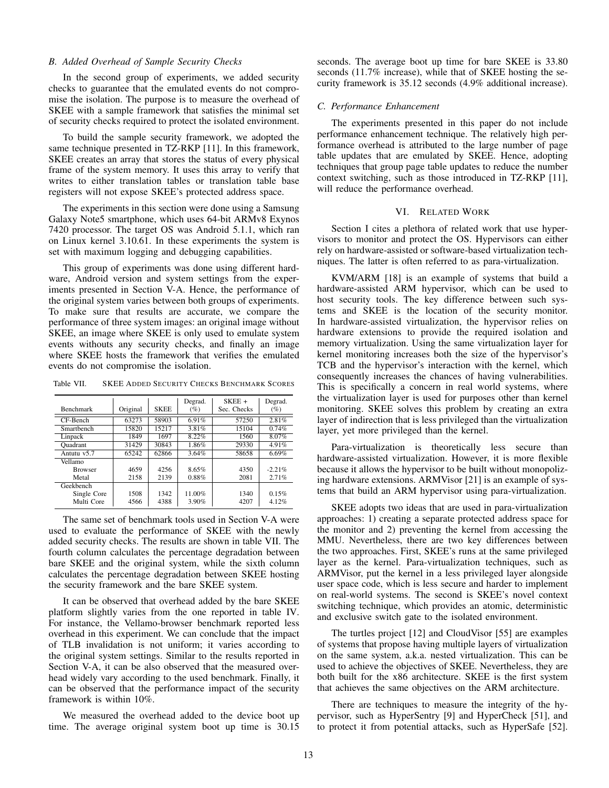#### *B. Added Overhead of Sample Security Checks*

In the second group of experiments, we added security checks to guarantee that the emulated events do not compromise the isolation. The purpose is to measure the overhead of SKEE with a sample framework that satisfies the minimal set of security checks required to protect the isolated environment.

To build the sample security framework, we adopted the same technique presented in TZ-RKP [11]. In this framework, SKEE creates an array that stores the status of every physical frame of the system memory. It uses this array to verify that writes to either translation tables or translation table base registers will not expose SKEE's protected address space.

The experiments in this section were done using a Samsung Galaxy Note5 smartphone, which uses 64-bit ARMv8 Exynos 7420 processor. The target OS was Android 5.1.1, which ran on Linux kernel 3.10.61. In these experiments the system is set with maximum logging and debugging capabilities.

This group of experiments was done using different hardware, Android version and system settings from the experiments presented in Section V-A. Hence, the performance of the original system varies between both groups of experiments. To make sure that results are accurate, we compare the performance of three system images: an original image without SKEE, an image where SKEE is only used to emulate system events withouts any security checks, and finally an image where SKEE hosts the framework that verifies the emulated events do not compromise the isolation.

Table VII. SKEE ADDED SECURITY CHECKS BENCHMARK SCORES

|                  |          |             | Degrad. | $SKEE +$    | Degrad.  |
|------------------|----------|-------------|---------|-------------|----------|
| <b>Benchmark</b> | Original | <b>SKEE</b> | $(\%)$  | Sec. Checks | $(\%)$   |
| $CF-Rench$       | 63273    | 58903       | 6.91%   | 57250       | 2.81%    |
| Smarthench       | 15820    | 15217       | 3.81%   | 15104       | 0.74%    |
| Linpack          | 1849     | 1697        | 8.22%   | 1560        | 8.07%    |
| Ouadrant         | 31429    | 30843       | 1.86%   | 29330       | 4.91%    |
| Antutu v5.7      | 65242    | 62866       | 3.64%   | 58658       | 6.69%    |
| Vellamo          |          |             |         |             |          |
| <b>Browser</b>   | 4659     | 4256        | 8.65%   | 4350        | $-2.21%$ |
| Metal            | 2158     | 2139        | 0.88%   | 2081        | 2.71%    |
| Geekbench        |          |             |         |             |          |
| Single Core      | 1508     | 1342        | 11.00%  | 1340        | 0.15%    |
| Multi Core       | 4566     | 4388        | 3.90%   | 4207        | 4.12%    |

The same set of benchmark tools used in Section V-A were used to evaluate the performance of SKEE with the newly added security checks. The results are shown in table VII. The fourth column calculates the percentage degradation between bare SKEE and the original system, while the sixth column calculates the percentage degradation between SKEE hosting the security framework and the bare SKEE system.

It can be observed that overhead added by the bare SKEE platform slightly varies from the one reported in table IV. For instance, the Vellamo-browser benchmark reported less overhead in this experiment. We can conclude that the impact of TLB invalidation is not uniform; it varies according to the original system settings. Similar to the results reported in Section V-A, it can be also observed that the measured overhead widely vary according to the used benchmark. Finally, it can be observed that the performance impact of the security framework is within 10%.

We measured the overhead added to the device boot up time. The average original system boot up time is 30.15 seconds. The average boot up time for bare SKEE is 33.80 seconds (11.7% increase), while that of SKEE hosting the security framework is 35.12 seconds (4.9% additional increase).

#### *C. Performance Enhancement*

The experiments presented in this paper do not include performance enhancement technique. The relatively high performance overhead is attributed to the large number of page table updates that are emulated by SKEE. Hence, adopting techniques that group page table updates to reduce the number context switching, such as those introduced in TZ-RKP [11], will reduce the performance overhead.

## VI. RELATED WORK

Section I cites a plethora of related work that use hypervisors to monitor and protect the OS. Hypervisors can either rely on hardware-assisted or software-based virtualization techniques. The latter is often referred to as para-virtualization.

KVM/ARM [18] is an example of systems that build a hardware-assisted ARM hypervisor, which can be used to host security tools. The key difference between such systems and SKEE is the location of the security monitor. In hardware-assisted virtualization, the hypervisor relies on hardware extensions to provide the required isolation and memory virtualization. Using the same virtualization layer for kernel monitoring increases both the size of the hypervisor's TCB and the hypervisor's interaction with the kernel, which consequently increases the chances of having vulnerabilities. This is specifically a concern in real world systems, where the virtualization layer is used for purposes other than kernel monitoring. SKEE solves this problem by creating an extra layer of indirection that is less privileged than the virtualization layer, yet more privileged than the kernel.

Para-virtualization is theoretically less secure than hardware-assisted virtualization. However, it is more flexible because it allows the hypervisor to be built without monopolizing hardware extensions. ARMVisor [21] is an example of systems that build an ARM hypervisor using para-virtualization.

SKEE adopts two ideas that are used in para-virtualization approaches: 1) creating a separate protected address space for the monitor and 2) preventing the kernel from accessing the MMU. Nevertheless, there are two key differences between the two approaches. First, SKEE's runs at the same privileged layer as the kernel. Para-virtualization techniques, such as ARMVisor, put the kernel in a less privileged layer alongside user space code, which is less secure and harder to implement on real-world systems. The second is SKEE's novel context switching technique, which provides an atomic, deterministic and exclusive switch gate to the isolated environment.

The turtles project [12] and CloudVisor [55] are examples of systems that propose having multiple layers of virtualization on the same system, a.k.a. nested virtualization. This can be used to achieve the objectives of SKEE. Nevertheless, they are both built for the x86 architecture. SKEE is the first system that achieves the same objectives on the ARM architecture.

There are techniques to measure the integrity of the hypervisor, such as HyperSentry [9] and HyperCheck [51], and to protect it from potential attacks, such as HyperSafe [52].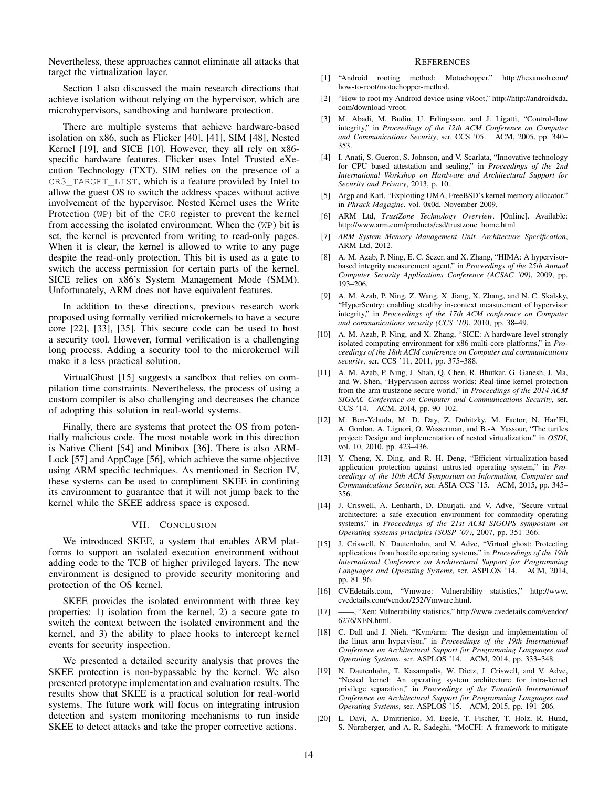Nevertheless, these approaches cannot eliminate all attacks that target the virtualization layer.

Section I also discussed the main research directions that achieve isolation without relying on the hypervisor, which are microhypervisors, sandboxing and hardware protection.

There are multiple systems that achieve hardware-based isolation on x86, such as Flicker [40], [41], SIM [48], Nested Kernel [19], and SICE [10]. However, they all rely on  $x86$ specific hardware features. Flicker uses Intel Trusted eXecution Technology (TXT). SIM relies on the presence of a CR3\_TARGET\_LIST, which is a feature provided by Intel to allow the guest OS to switch the address spaces without active involvement of the hypervisor. Nested Kernel uses the Write Protection (WP) bit of the CR0 register to prevent the kernel from accessing the isolated environment. When the (WP) bit is set, the kernel is prevented from writing to read-only pages. When it is clear, the kernel is allowed to write to any page despite the read-only protection. This bit is used as a gate to switch the access permission for certain parts of the kernel. SICE relies on x86's System Management Mode (SMM). Unfortunately, ARM does not have equivalent features.

In addition to these directions, previous research work proposed using formally verified microkernels to have a secure core [22], [33], [35]. This secure code can be used to host a security tool. However, formal verification is a challenging long process. Adding a security tool to the microkernel will make it a less practical solution.

VirtualGhost [15] suggests a sandbox that relies on compilation time constraints. Nevertheless, the process of using a custom compiler is also challenging and decreases the chance of adopting this solution in real-world systems.

Finally, there are systems that protect the OS from potentially malicious code. The most notable work in this direction is Native Client [54] and Minibox [36]. There is also ARM-Lock [57] and AppCage [56], which achieve the same objective using ARM specific techniques. As mentioned in Section IV, these systems can be used to compliment SKEE in confining its environment to guarantee that it will not jump back to the kernel while the SKEE address space is exposed.

## VII. CONCLUSION

We introduced SKEE, a system that enables ARM platforms to support an isolated execution environment without adding code to the TCB of higher privileged layers. The new environment is designed to provide security monitoring and protection of the OS kernel.

SKEE provides the isolated environment with three key properties: 1) isolation from the kernel, 2) a secure gate to switch the context between the isolated environment and the kernel, and 3) the ability to place hooks to intercept kernel events for security inspection.

We presented a detailed security analysis that proves the SKEE protection is non-bypassable by the kernel. We also presented prototype implementation and evaluation results. The results show that SKEE is a practical solution for real-world systems. The future work will focus on integrating intrusion detection and system monitoring mechanisms to run inside SKEE to detect attacks and take the proper corrective actions.

#### **REFERENCES**

- [1] "Android rooting method: Motochopper," http://hexamob.com/ how-to-root/motochopper-method.
- [2] "How to root my Android device using vRoot," http://http://androidxda. com/download-vroot.
- [3] M. Abadi, M. Budiu, U. Erlingsson, and J. Ligatti, "Control-flow integrity," in *Proceedings of the 12th ACM Conference on Computer and Communications Security*, ser. CCS '05. ACM, 2005, pp. 340– 353.
- [4] I. Anati, S. Gueron, S. Johnson, and V. Scarlata, "Innovative technology for CPU based attestation and sealing," in *Proceedings of the 2nd International Workshop on Hardware and Architectural Support for Security and Privacy*, 2013, p. 10.
- [5] Argp and Karl, "Exploiting UMA, FreeBSD's kernel memory allocator," in *Phrack Magazine*, vol. 0x0d, November 2009.
- [6] ARM Ltd, *TrustZone Technology Overview*. [Online]. Available: http://www.arm.com/products/esd/trustzone\_home.html
- [7] *ARM System Memory Management Unit. Architecture Specification*, ARM Ltd, 2012.
- A. M. Azab, P. Ning, E. C. Sezer, and X. Zhang, "HIMA: A hypervisorbased integrity measurement agent," in *Proceedings of the 25th Annual Computer Security Applications Conference (ACSAC '09)*, 2009, pp. 193–206.
- [9] A. M. Azab, P. Ning, Z. Wang, X. Jiang, X. Zhang, and N. C. Skalsky, "HyperSentry: enabling stealthy in-context measurement of hypervisor integrity," in *Proceedings of the 17th ACM conference on Computer and communications security (CCS '10)*, 2010, pp. 38–49.
- [10] A. M. Azab, P. Ning, and X. Zhang, "SICE: A hardware-level strongly isolated computing environment for x86 multi-core platforms," in *Proceedings of the 18th ACM conference on Computer and communications security*, ser. CCS '11, 2011, pp. 375–388.
- [11] A. M. Azab, P. Ning, J. Shah, Q. Chen, R. Bhutkar, G. Ganesh, J. Ma, and W. Shen, "Hypervision across worlds: Real-time kernel protection from the arm trustzone secure world," in *Proceedings of the 2014 ACM SIGSAC Conference on Computer and Communications Security*, ser. CCS '14. ACM, 2014, pp. 90–102.
- [12] M. Ben-Yehuda, M. D. Day, Z. Dubitzky, M. Factor, N. Har'El, A. Gordon, A. Liguori, O. Wasserman, and B.-A. Yassour, "The turtles project: Design and implementation of nested virtualization." in *OSDI*, vol. 10, 2010, pp. 423–436.
- [13] Y. Cheng, X. Ding, and R. H. Deng, "Efficient virtualization-based application protection against untrusted operating system," in *Proceedings of the 10th ACM Symposium on Information, Computer and Communications Security*, ser. ASIA CCS '15. ACM, 2015, pp. 345– 356.
- [14] J. Criswell, A. Lenharth, D. Dhurjati, and V. Adve, "Secure virtual architecture: a safe execution environment for commodity operating systems," in *Proceedings of the 21st ACM SIGOPS symposium on Operating systems principles (SOSP '07)*, 2007, pp. 351–366.
- [15] J. Criswell, N. Dautenhahn, and V. Adve, "Virtual ghost: Protecting applications from hostile operating systems," in *Proceedings of the 19th International Conference on Architectural Support for Programming Languages and Operating Systems*, ser. ASPLOS '14. ACM, 2014, pp. 81–96.
- [16] CVEdetails.com, "Vmware: Vulnerability statistics," http://www. cvedetails.com/vendor/252/Vmware.html.
- [17] ——, "Xen: Vulnerability statistics," http://www.cvedetails.com/vendor/ 6276/XEN.html.
- [18] C. Dall and J. Nieh, "Kvm/arm: The design and implementation of the linux arm hypervisor," in *Proceedings of the 19th International Conference on Architectural Support for Programming Languages and Operating Systems*, ser. ASPLOS '14. ACM, 2014, pp. 333–348.
- [19] N. Dautenhahn, T. Kasampalis, W. Dietz, J. Criswell, and V. Adve, "Nested kernel: An operating system architecture for intra-kernel privilege separation," in *Proceedings of the Twentieth International Conference on Architectural Support for Programming Languages and Operating Systems*, ser. ASPLOS '15. ACM, 2015, pp. 191–206.
- [20] L. Davi, A. Dmitrienko, M. Egele, T. Fischer, T. Holz, R. Hund, S. Nürnberger, and A.-R. Sadeghi, "MoCFI: A framework to mitigate